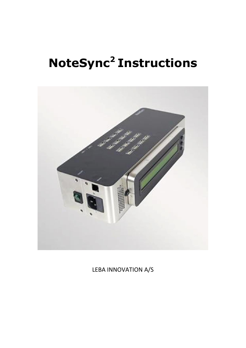# **NoteSync<sup>2</sup> Instructions**



LEBA INNOVATION A/S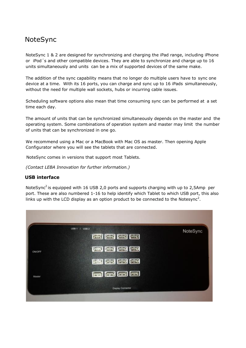### NoteSync

NoteSync 1 & 2 are designed for synchronizing and charging the iPad range, including iPhone or iPod´s and other compatible devices. They are able to synchronize and charge up to 16 units simultaneously and units can be a mix of supported devices of the same make.

The addition of the sync capability means that no longer do multiple users have to sync one device at a time. With its 16 ports, you can charge and sync up to 16 iPads simultaneously, without the need for multiple wall sockets, hubs or incurring cable issues.

Scheduling software options also mean that time consuming sync can be performed at a set time each day.

The amount of units that can be synchronized simultaneously depends on the master and the operating system. Some combinations of operation system and master may limit the number of units that can be synchronized in one go.

We recommend using a Mac or a MacBook with Mac OS as master. Then opening Apple Configurator where you will see the tablets that are connected.

NoteSync comes in versions that support most Tablets.

*(Contact LEBA Innovation for further information.)*

#### **USB interface**

NoteSync<sup>2</sup> is equipped with 16 USB 2,0 ports and supports charging with up to 2,5Amp per port. These are also numbered 1-16 to help identify which Tablet to which USB port, this also links up with the LCD display as an option product to be connected to the Notesync<sup>2</sup>.

|        | <b>USB 2</b><br><b>USB 1</b> | NoteSync |
|--------|------------------------------|----------|
|        | <b>ENERGED</b>               |          |
| ON/OFF | 高局局国                         |          |
|        | 國國國國                         |          |
| Master | eed                          |          |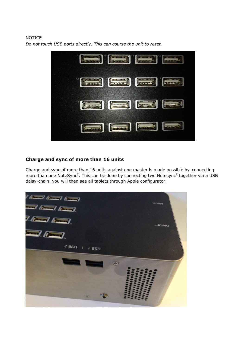#### NOTICE

Final Court **Emil [2003] [2003] Experts** (Figure ) **Excess (Second Company)** 

*Do not touch USB ports directly. This can course the unit to reset.*

#### **Charge and sync of more than 16 units**

Charge and sync of more than 16 units against one master is made possible by connecting more than one NoteSync<sup>2</sup>. This can be done by connecting two Notesync<sup>2</sup> together via a USB daisy-chain, you will then see all tablets through Apple configurator.

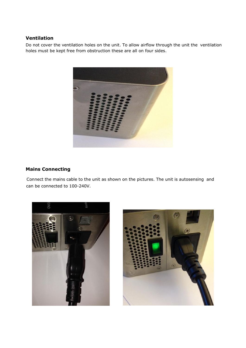#### **Ventilation**

Do not cover the ventilation holes on the unit. To allow airflow through the unit the ventilation holes must be kept free from obstruction these are all on four sides.



#### **Mains Connecting**

Connect the mains cable to the unit as shown on the pictures. The unit is autosensing and can be connected to 100-240V.



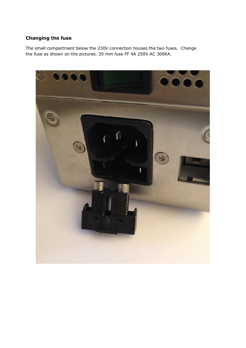#### **Changing the fuse**

The small compartment below the 230V connection houses the two fuses. Change the fuse as shown on the pictures. 20 mm fuse FF 4A 250V AC 300KA.

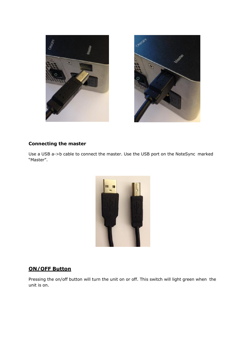



#### **Connecting the master**

Use a USB a->b cable to connect the master. Use the USB port on the NoteSync marked "Master".



#### **ON/OFF Button**

Pressing the on/off button will turn the unit on or off. This switch will light green when the unit is on.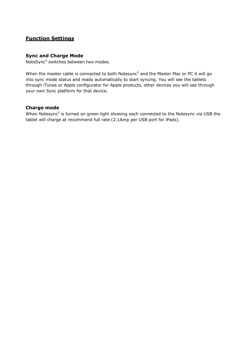#### **Function Settings**

#### **Sync and Charge Mode**

NoteSync<sup>2</sup> switches between two modes.

When the master cable is connected to both Notesync<sup>2</sup> and the Master Mac or PC it will go into sync mode status and ready automatically to start syncing. You will see the tablets through iTunes or Apple configurator for Apple products, other devices you will see through your own Sync platform for that device.

#### **Charge mode**

When Notesync<sup>2</sup> is turned on green light showing each connected to the Notesync via USB the tablet will charge at recommend full rate (2.1Amp per USB port for iPads).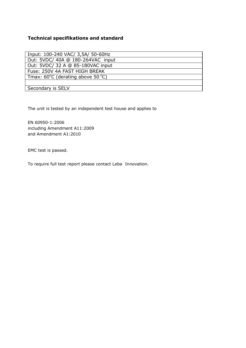#### **Technical specifikations and standard**

| Input: 100-240 VAC/ 3,5A/ 50-60Hz                     |
|-------------------------------------------------------|
| Out: 5VDC/ 40A @ 180-264VAC input                     |
| Out: 5VDC/ 32 A @ 85-180VAC input                     |
| Fuse: 250V 4A FAST HIGH BREAK                         |
| Tmax: $60^{\circ}$ C (derating above 50 $^{\circ}$ C) |
|                                                       |
| Secondary is SELV                                     |

The unit is tested by an independent test house and applies to

EN 60950-1:2006 including Amendment A11:2009 and Amendment A1:2010

EMC test is passed.

To require full test report please contact Leba Innovation.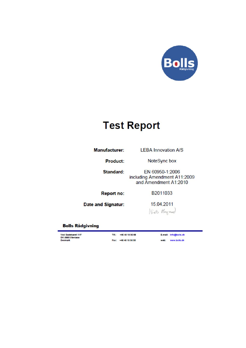

## **Test Report**

**Manufacturer:** 

**LEBA Innovation A/S** 

**Product:** 

NoteSync box

**Standard:** 

EN 60950-1:2006 including Amendment A11:2009 and Amendment A1:2010

**Report no:** 

B2011033

**Date and Signatur:** 

15.04.2011 Nies Hoyand

#### **Bolls Rådgivning**

Ved Gadekæret 11F<br>DK-3880 Stenløse<br>Denmark

Tif.: +46 48 18 36 66 Fax: +46 48 18 36 30 E-mail: Info@bolis.dk web: www.bollc.ck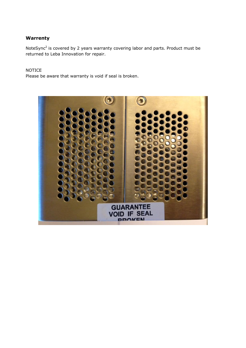#### **Warrenty**

NoteSync<sup>2</sup> is covered by 2 years warranty covering labor and parts. Product must be returned to Leba Innovation for repair.

#### NOTICE

Please be aware that warranty is void if seal is broken.